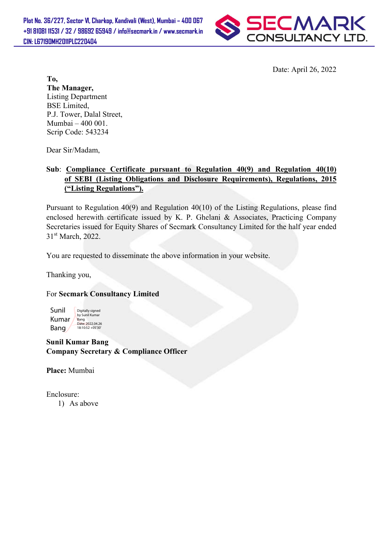

Date: April 26, 2022

To, The Manager, Listing Department BSE Limited, P.J. Tower, Dalal Street, Mumbai – 400 001. Scrip Code: 543234

Dear Sir/Madam,

## Sub: Compliance Certificate pursuant to Regulation 40(9) and Regulation 40(10) of SEBI (Listing Obligations and Disclosure Requirements), Regulations, 2015 ("Listing Regulations").

Pursuant to Regulation 40(9) and Regulation 40(10) of the Listing Regulations, please find enclosed herewith certificate issued by K. P. Ghelani & Associates, Practicing Company Secretaries issued for Equity Shares of Secmark Consultancy Limited for the half year ended 31<sup>st</sup> March, 2022.

You are requested to disseminate the above information in your website.

Thanking you,

For Secmark Consultancy Limited

Sunil Kumar Bang Digitally signed by Sunil Kumar **Bang** Date: 2022.04.26 18:10:52 +05'30'

Sunil Kumar Bang Company Secretary & Compliance Officer

Place: Mumbai

Enclosure: 1) As above